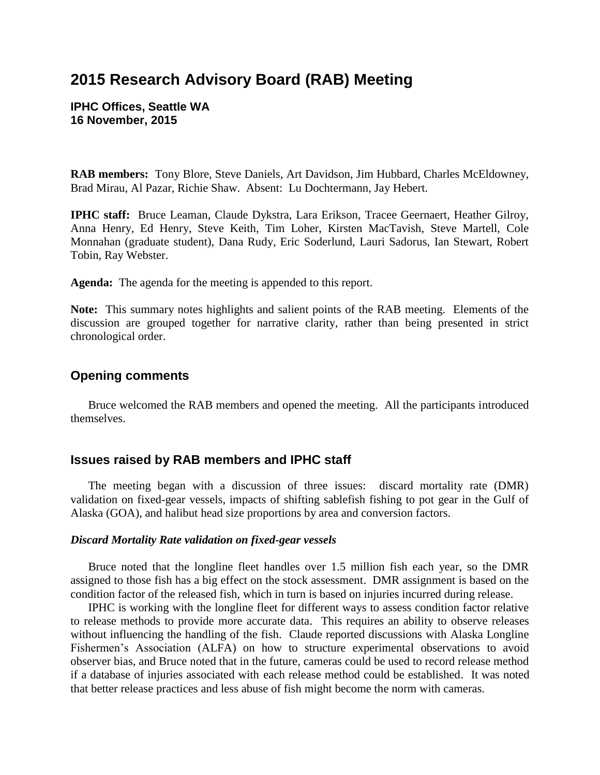# **2015 Research Advisory Board (RAB) Meeting**

**IPHC Offices, Seattle WA 16 November, 2015** 

**RAB members:** Tony Blore, Steve Daniels, Art Davidson, Jim Hubbard, Charles McEldowney, Brad Mirau, Al Pazar, Richie Shaw. Absent: Lu Dochtermann, Jay Hebert.

**IPHC staff:** Bruce Leaman, Claude Dykstra, Lara Erikson, Tracee Geernaert, Heather Gilroy, Anna Henry, Ed Henry, Steve Keith, Tim Loher, Kirsten MacTavish, Steve Martell, Cole Monnahan (graduate student), Dana Rudy, Eric Soderlund, Lauri Sadorus, Ian Stewart, Robert Tobin, Ray Webster.

**Agenda:** The agenda for the meeting is appended to this report.

**Note:** This summary notes highlights and salient points of the RAB meeting. Elements of the discussion are grouped together for narrative clarity, rather than being presented in strict chronological order.

## **Opening comments**

Bruce welcomed the RAB members and opened the meeting. All the participants introduced themselves.

#### **Issues raised by RAB members and IPHC staff**

The meeting began with a discussion of three issues: discard mortality rate (DMR) validation on fixed-gear vessels, impacts of shifting sablefish fishing to pot gear in the Gulf of Alaska (GOA), and halibut head size proportions by area and conversion factors.

#### *Discard Mortality Rate validation on fixed-gear vessels*

Bruce noted that the longline fleet handles over 1.5 million fish each year, so the DMR assigned to those fish has a big effect on the stock assessment. DMR assignment is based on the condition factor of the released fish, which in turn is based on injuries incurred during release.

IPHC is working with the longline fleet for different ways to assess condition factor relative to release methods to provide more accurate data. This requires an ability to observe releases without influencing the handling of the fish. Claude reported discussions with Alaska Longline Fishermen's Association (ALFA) on how to structure experimental observations to avoid observer bias, and Bruce noted that in the future, cameras could be used to record release method if a database of injuries associated with each release method could be established. It was noted that better release practices and less abuse of fish might become the norm with cameras.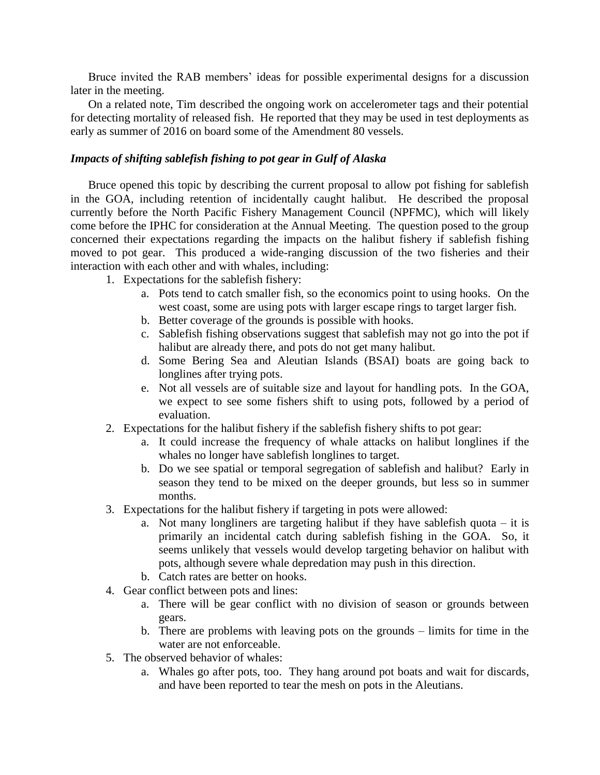Bruce invited the RAB members' ideas for possible experimental designs for a discussion later in the meeting.

On a related note, Tim described the ongoing work on accelerometer tags and their potential for detecting mortality of released fish. He reported that they may be used in test deployments as early as summer of 2016 on board some of the Amendment 80 vessels.

## *Impacts of shifting sablefish fishing to pot gear in Gulf of Alaska*

Bruce opened this topic by describing the current proposal to allow pot fishing for sablefish in the GOA, including retention of incidentally caught halibut. He described the proposal currently before the North Pacific Fishery Management Council (NPFMC), which will likely come before the IPHC for consideration at the Annual Meeting. The question posed to the group concerned their expectations regarding the impacts on the halibut fishery if sablefish fishing moved to pot gear. This produced a wide-ranging discussion of the two fisheries and their interaction with each other and with whales, including:

- 1. Expectations for the sablefish fishery:
	- a. Pots tend to catch smaller fish, so the economics point to using hooks. On the west coast, some are using pots with larger escape rings to target larger fish.
	- b. Better coverage of the grounds is possible with hooks.
	- c. Sablefish fishing observations suggest that sablefish may not go into the pot if halibut are already there, and pots do not get many halibut.
	- d. Some Bering Sea and Aleutian Islands (BSAI) boats are going back to longlines after trying pots.
	- e. Not all vessels are of suitable size and layout for handling pots. In the GOA, we expect to see some fishers shift to using pots, followed by a period of evaluation.
- 2. Expectations for the halibut fishery if the sablefish fishery shifts to pot gear:
	- a. It could increase the frequency of whale attacks on halibut longlines if the whales no longer have sablefish longlines to target.
	- b. Do we see spatial or temporal segregation of sablefish and halibut? Early in season they tend to be mixed on the deeper grounds, but less so in summer months.
- 3. Expectations for the halibut fishery if targeting in pots were allowed:
	- a. Not many longliners are targeting halibut if they have sable fish quota  $-$  it is primarily an incidental catch during sablefish fishing in the GOA. So, it seems unlikely that vessels would develop targeting behavior on halibut with pots, although severe whale depredation may push in this direction.
	- b. Catch rates are better on hooks.
- 4. Gear conflict between pots and lines:
	- a. There will be gear conflict with no division of season or grounds between gears.
	- b. There are problems with leaving pots on the grounds limits for time in the water are not enforceable.
- 5. The observed behavior of whales:
	- a. Whales go after pots, too. They hang around pot boats and wait for discards, and have been reported to tear the mesh on pots in the Aleutians.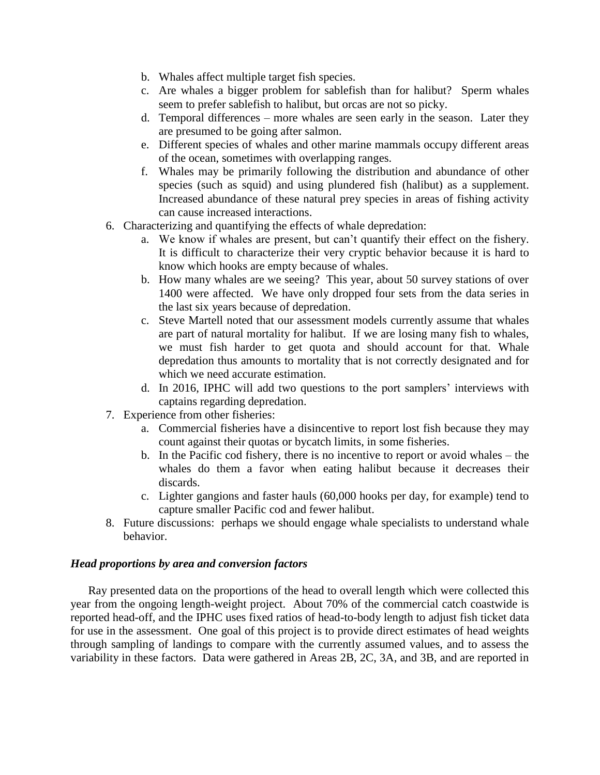- b. Whales affect multiple target fish species.
- c. Are whales a bigger problem for sablefish than for halibut? Sperm whales seem to prefer sablefish to halibut, but orcas are not so picky.
- d. Temporal differences more whales are seen early in the season. Later they are presumed to be going after salmon.
- e. Different species of whales and other marine mammals occupy different areas of the ocean, sometimes with overlapping ranges.
- f. Whales may be primarily following the distribution and abundance of other species (such as squid) and using plundered fish (halibut) as a supplement. Increased abundance of these natural prey species in areas of fishing activity can cause increased interactions.
- 6. Characterizing and quantifying the effects of whale depredation:
	- a. We know if whales are present, but can't quantify their effect on the fishery. It is difficult to characterize their very cryptic behavior because it is hard to know which hooks are empty because of whales.
	- b. How many whales are we seeing? This year, about 50 survey stations of over 1400 were affected. We have only dropped four sets from the data series in the last six years because of depredation.
	- c. Steve Martell noted that our assessment models currently assume that whales are part of natural mortality for halibut. If we are losing many fish to whales, we must fish harder to get quota and should account for that. Whale depredation thus amounts to mortality that is not correctly designated and for which we need accurate estimation.
	- d. In 2016, IPHC will add two questions to the port samplers' interviews with captains regarding depredation.
- 7. Experience from other fisheries:
	- a. Commercial fisheries have a disincentive to report lost fish because they may count against their quotas or bycatch limits, in some fisheries.
	- b. In the Pacific cod fishery, there is no incentive to report or avoid whales the whales do them a favor when eating halibut because it decreases their discards.
	- c. Lighter gangions and faster hauls (60,000 hooks per day, for example) tend to capture smaller Pacific cod and fewer halibut.
- 8. Future discussions: perhaps we should engage whale specialists to understand whale behavior.

## *Head proportions by area and conversion factors*

Ray presented data on the proportions of the head to overall length which were collected this year from the ongoing length-weight project. About 70% of the commercial catch coastwide is reported head-off, and the IPHC uses fixed ratios of head-to-body length to adjust fish ticket data for use in the assessment. One goal of this project is to provide direct estimates of head weights through sampling of landings to compare with the currently assumed values, and to assess the variability in these factors. Data were gathered in Areas 2B, 2C, 3A, and 3B, and are reported in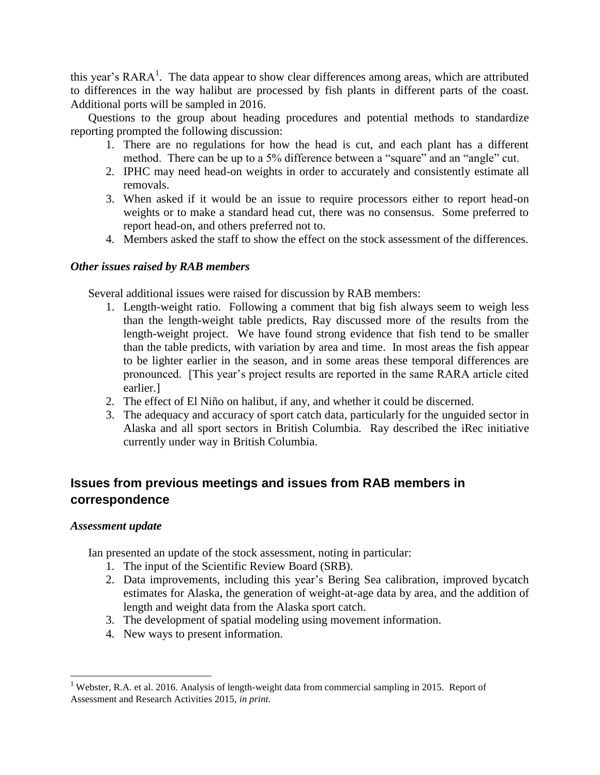this year's  $RARA^1$ . The data appear to show clear differences among areas, which are attributed to differences in the way halibut are processed by fish plants in different parts of the coast. Additional ports will be sampled in 2016.

Questions to the group about heading procedures and potential methods to standardize reporting prompted the following discussion:

- 1. There are no regulations for how the head is cut, and each plant has a different method. There can be up to a 5% difference between a "square" and an "angle" cut.
- 2. IPHC may need head-on weights in order to accurately and consistently estimate all removals.
- 3. When asked if it would be an issue to require processors either to report head-on weights or to make a standard head cut, there was no consensus. Some preferred to report head-on, and others preferred not to.
- 4. Members asked the staff to show the effect on the stock assessment of the differences.

## *Other issues raised by RAB members*

Several additional issues were raised for discussion by RAB members:

- 1. Length-weight ratio. Following a comment that big fish always seem to weigh less than the length-weight table predicts, Ray discussed more of the results from the length-weight project. We have found strong evidence that fish tend to be smaller than the table predicts, with variation by area and time. In most areas the fish appear to be lighter earlier in the season, and in some areas these temporal differences are pronounced. [This year's project results are reported in the same RARA article cited earlier.]
- 2. The effect of El Niño on halibut, if any, and whether it could be discerned.
- 3. The adequacy and accuracy of sport catch data, particularly for the unguided sector in Alaska and all sport sectors in British Columbia. Ray described the iRec initiative currently under way in British Columbia.

## **Issues from previous meetings and issues from RAB members in correspondence**

## *Assessment update*

Ian presented an update of the stock assessment, noting in particular:

- 1. The input of the Scientific Review Board (SRB).
- 2. Data improvements, including this year's Bering Sea calibration, improved bycatch estimates for Alaska, the generation of weight-at-age data by area, and the addition of length and weight data from the Alaska sport catch.
- 3. The development of spatial modeling using movement information.
- 4. New ways to present information.

l <sup>1</sup> Webster, R.A. et al. 2016. Analysis of length-weight data from commercial sampling in 2015. Report of Assessment and Research Activities 2015, *in print.*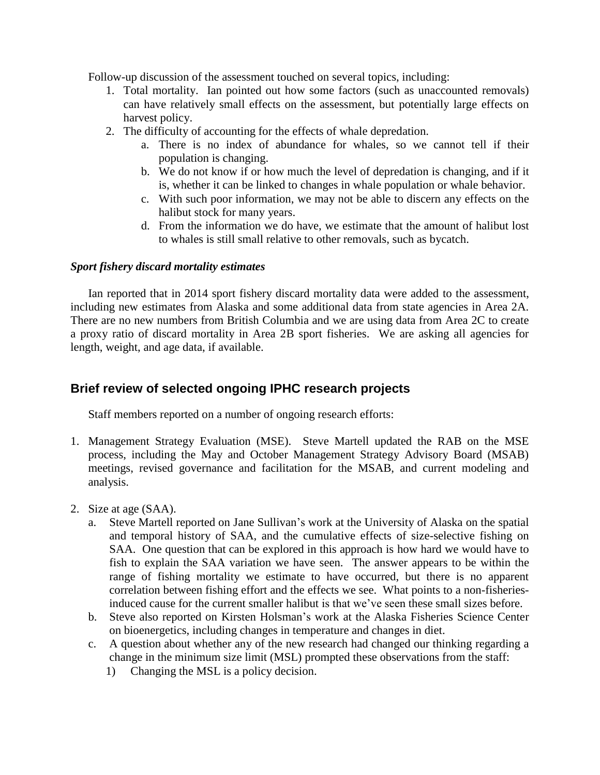Follow-up discussion of the assessment touched on several topics, including:

- 1. Total mortality. Ian pointed out how some factors (such as unaccounted removals) can have relatively small effects on the assessment, but potentially large effects on harvest policy.
- 2. The difficulty of accounting for the effects of whale depredation.
	- a. There is no index of abundance for whales, so we cannot tell if their population is changing.
	- b. We do not know if or how much the level of depredation is changing, and if it is, whether it can be linked to changes in whale population or whale behavior.
	- c. With such poor information, we may not be able to discern any effects on the halibut stock for many years.
	- d. From the information we do have, we estimate that the amount of halibut lost to whales is still small relative to other removals, such as bycatch.

#### *Sport fishery discard mortality estimates*

Ian reported that in 2014 sport fishery discard mortality data were added to the assessment, including new estimates from Alaska and some additional data from state agencies in Area 2A. There are no new numbers from British Columbia and we are using data from Area 2C to create a proxy ratio of discard mortality in Area 2B sport fisheries. We are asking all agencies for length, weight, and age data, if available.

## **Brief review of selected ongoing IPHC research projects**

Staff members reported on a number of ongoing research efforts:

- 1. Management Strategy Evaluation (MSE). Steve Martell updated the RAB on the MSE process, including the May and October Management Strategy Advisory Board (MSAB) meetings, revised governance and facilitation for the MSAB, and current modeling and analysis.
- 2. Size at age (SAA).
	- a. Steve Martell reported on Jane Sullivan's work at the University of Alaska on the spatial and temporal history of SAA, and the cumulative effects of size-selective fishing on SAA. One question that can be explored in this approach is how hard we would have to fish to explain the SAA variation we have seen. The answer appears to be within the range of fishing mortality we estimate to have occurred, but there is no apparent correlation between fishing effort and the effects we see. What points to a non-fisheriesinduced cause for the current smaller halibut is that we've seen these small sizes before.
	- b. Steve also reported on Kirsten Holsman's work at the Alaska Fisheries Science Center on bioenergetics, including changes in temperature and changes in diet.
	- c. A question about whether any of the new research had changed our thinking regarding a change in the minimum size limit (MSL) prompted these observations from the staff:
		- 1) Changing the MSL is a policy decision.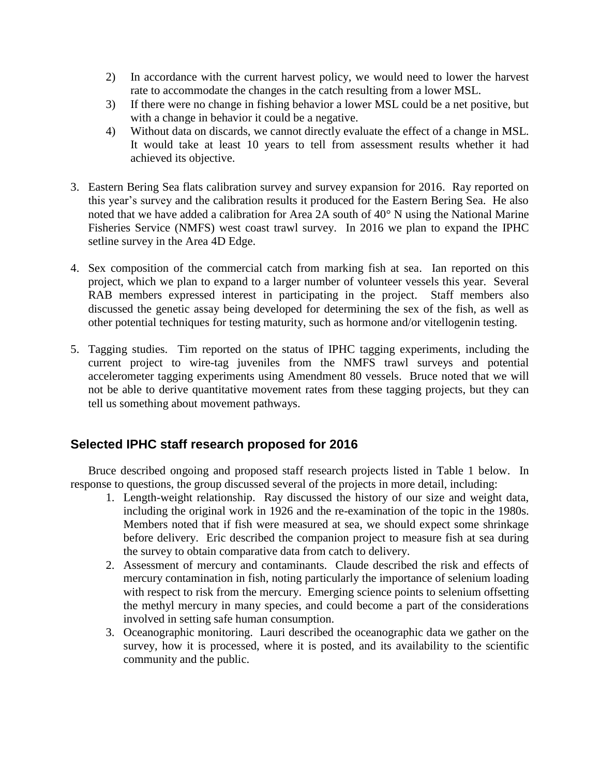- 2) In accordance with the current harvest policy, we would need to lower the harvest rate to accommodate the changes in the catch resulting from a lower MSL.
- 3) If there were no change in fishing behavior a lower MSL could be a net positive, but with a change in behavior it could be a negative.
- 4) Without data on discards, we cannot directly evaluate the effect of a change in MSL. It would take at least 10 years to tell from assessment results whether it had achieved its objective.
- 3. Eastern Bering Sea flats calibration survey and survey expansion for 2016. Ray reported on this year's survey and the calibration results it produced for the Eastern Bering Sea. He also noted that we have added a calibration for Area 2A south of 40° N using the National Marine Fisheries Service (NMFS) west coast trawl survey. In 2016 we plan to expand the IPHC setline survey in the Area 4D Edge.
- 4. Sex composition of the commercial catch from marking fish at sea. Ian reported on this project, which we plan to expand to a larger number of volunteer vessels this year. Several RAB members expressed interest in participating in the project. Staff members also discussed the genetic assay being developed for determining the sex of the fish, as well as other potential techniques for testing maturity, such as hormone and/or vitellogenin testing.
- 5. Tagging studies. Tim reported on the status of IPHC tagging experiments, including the current project to wire-tag juveniles from the NMFS trawl surveys and potential accelerometer tagging experiments using Amendment 80 vessels. Bruce noted that we will not be able to derive quantitative movement rates from these tagging projects, but they can tell us something about movement pathways.

## **Selected IPHC staff research proposed for 2016**

Bruce described ongoing and proposed staff research projects listed in Table 1 below. In response to questions, the group discussed several of the projects in more detail, including:

- 1. Length-weight relationship. Ray discussed the history of our size and weight data, including the original work in 1926 and the re-examination of the topic in the 1980s. Members noted that if fish were measured at sea, we should expect some shrinkage before delivery. Eric described the companion project to measure fish at sea during the survey to obtain comparative data from catch to delivery.
- 2. Assessment of mercury and contaminants. Claude described the risk and effects of mercury contamination in fish, noting particularly the importance of selenium loading with respect to risk from the mercury. Emerging science points to selenium offsetting the methyl mercury in many species, and could become a part of the considerations involved in setting safe human consumption.
- 3. Oceanographic monitoring. Lauri described the oceanographic data we gather on the survey, how it is processed, where it is posted, and its availability to the scientific community and the public.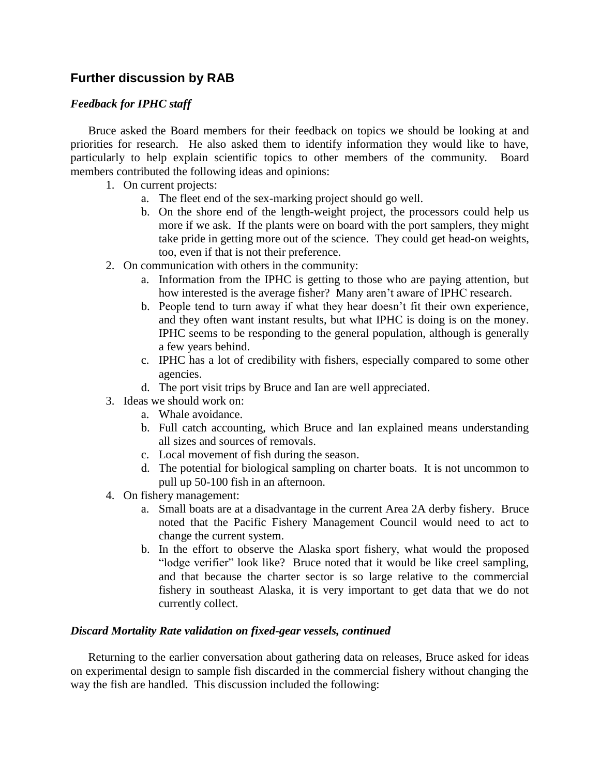## **Further discussion by RAB**

## *Feedback for IPHC staff*

Bruce asked the Board members for their feedback on topics we should be looking at and priorities for research. He also asked them to identify information they would like to have, particularly to help explain scientific topics to other members of the community. Board members contributed the following ideas and opinions:

- 1. On current projects:
	- a. The fleet end of the sex-marking project should go well.
	- b. On the shore end of the length-weight project, the processors could help us more if we ask. If the plants were on board with the port samplers, they might take pride in getting more out of the science. They could get head-on weights, too, even if that is not their preference.
- 2. On communication with others in the community:
	- a. Information from the IPHC is getting to those who are paying attention, but how interested is the average fisher? Many aren't aware of IPHC research.
	- b. People tend to turn away if what they hear doesn't fit their own experience, and they often want instant results, but what IPHC is doing is on the money. IPHC seems to be responding to the general population, although is generally a few years behind.
	- c. IPHC has a lot of credibility with fishers, especially compared to some other agencies.
	- d. The port visit trips by Bruce and Ian are well appreciated.
- 3. Ideas we should work on:
	- a. Whale avoidance.
	- b. Full catch accounting, which Bruce and Ian explained means understanding all sizes and sources of removals.
	- c. Local movement of fish during the season.
	- d. The potential for biological sampling on charter boats. It is not uncommon to pull up 50-100 fish in an afternoon.
- 4. On fishery management:
	- a. Small boats are at a disadvantage in the current Area 2A derby fishery. Bruce noted that the Pacific Fishery Management Council would need to act to change the current system.
	- b. In the effort to observe the Alaska sport fishery, what would the proposed "lodge verifier" look like? Bruce noted that it would be like creel sampling, and that because the charter sector is so large relative to the commercial fishery in southeast Alaska, it is very important to get data that we do not currently collect.

## *Discard Mortality Rate validation on fixed-gear vessels, continued*

Returning to the earlier conversation about gathering data on releases, Bruce asked for ideas on experimental design to sample fish discarded in the commercial fishery without changing the way the fish are handled. This discussion included the following: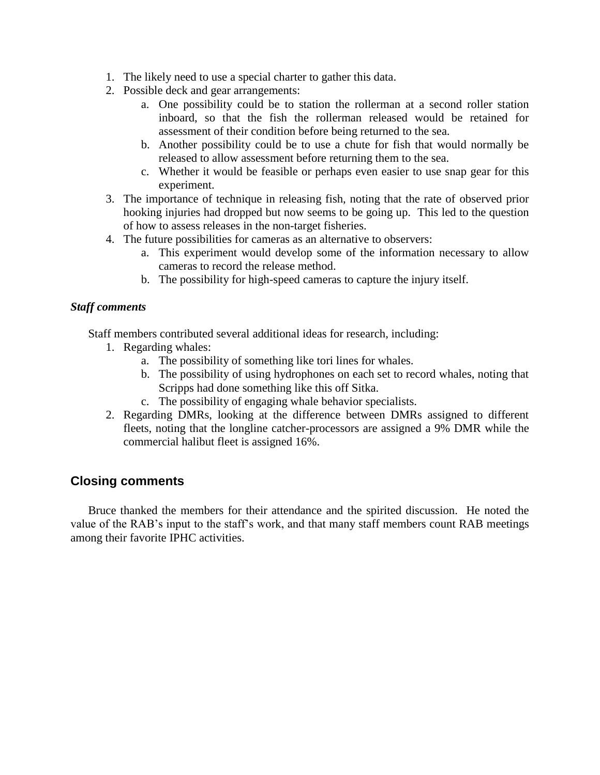- 1. The likely need to use a special charter to gather this data.
- 2. Possible deck and gear arrangements:
	- a. One possibility could be to station the rollerman at a second roller station inboard, so that the fish the rollerman released would be retained for assessment of their condition before being returned to the sea.
	- b. Another possibility could be to use a chute for fish that would normally be released to allow assessment before returning them to the sea.
	- c. Whether it would be feasible or perhaps even easier to use snap gear for this experiment.
- 3. The importance of technique in releasing fish, noting that the rate of observed prior hooking injuries had dropped but now seems to be going up. This led to the question of how to assess releases in the non-target fisheries.
- 4. The future possibilities for cameras as an alternative to observers:
	- a. This experiment would develop some of the information necessary to allow cameras to record the release method.
	- b. The possibility for high-speed cameras to capture the injury itself.

## *Staff comments*

Staff members contributed several additional ideas for research, including:

- 1. Regarding whales:
	- a. The possibility of something like tori lines for whales.
	- b. The possibility of using hydrophones on each set to record whales, noting that Scripps had done something like this off Sitka.
	- c. The possibility of engaging whale behavior specialists.
- 2. Regarding DMRs, looking at the difference between DMRs assigned to different fleets, noting that the longline catcher-processors are assigned a 9% DMR while the commercial halibut fleet is assigned 16%.

## **Closing comments**

Bruce thanked the members for their attendance and the spirited discussion. He noted the value of the RAB's input to the staff's work, and that many staff members count RAB meetings among their favorite IPHC activities.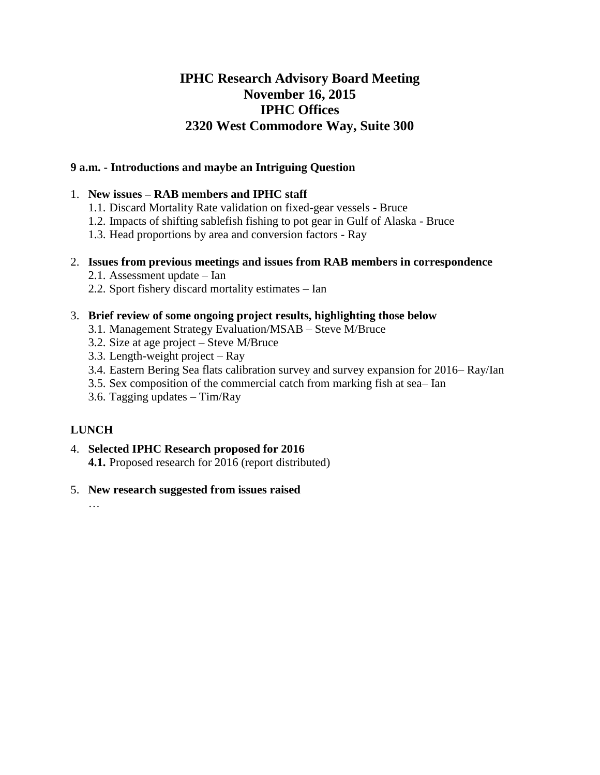## **IPHC Research Advisory Board Meeting November 16, 2015 IPHC Offices 2320 West Commodore Way, Suite 300**

## **9 a.m. - Introductions and maybe an Intriguing Question**

## 1. **New issues – RAB members and IPHC staff**

- 1.1. Discard Mortality Rate validation on fixed-gear vessels Bruce
- 1.2. Impacts of shifting sablefish fishing to pot gear in Gulf of Alaska Bruce
- 1.3. Head proportions by area and conversion factors Ray

## 2. **Issues from previous meetings and issues from RAB members in correspondence**

- 2.1. Assessment update Ian
- 2.2. Sport fishery discard mortality estimates Ian

## 3. **Brief review of some ongoing project results, highlighting those below**

- 3.1. Management Strategy Evaluation/MSAB Steve M/Bruce
- 3.2. Size at age project Steve M/Bruce
- 3.3. Length-weight project Ray
- 3.4. Eastern Bering Sea flats calibration survey and survey expansion for 2016– Ray/Ian
- 3.5. Sex composition of the commercial catch from marking fish at sea– Ian
- 3.6. Tagging updates Tim/Ray

## **LUNCH**

4. **Selected IPHC Research proposed for 2016 4.1.** Proposed research for 2016 (report distributed)

## 5. **New research suggested from issues raised**